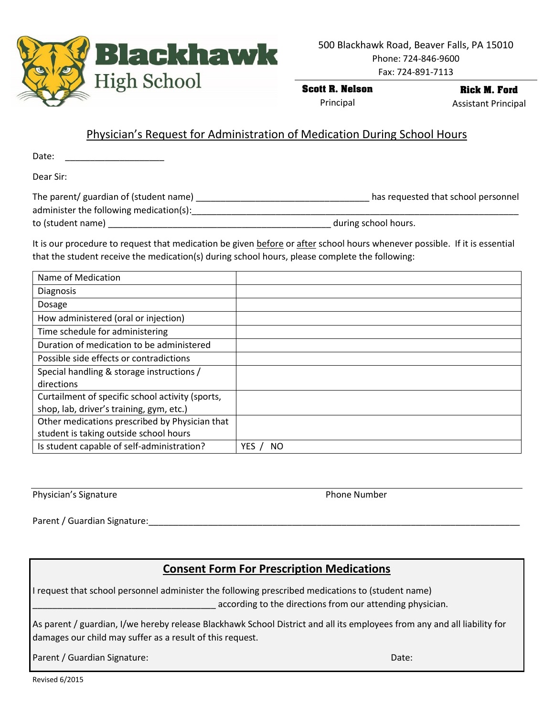

500 Blackhawk Road, Beaver Falls, PA 15010 Phone: 724-846-9600

Fax: 724-891-7113

**Scott R. Nelson**

Principal

**Rick M. Ford** Assistant Principal

## Physician's Request for Administration of Medication During School Hours

Date:

Dear Sir:

| The parent/ guardian of (student name)  | has requested that school personnel |
|-----------------------------------------|-------------------------------------|
| administer the following medication(s): |                                     |
| to (student name)                       | during school hours.                |

It is our procedure to request that medication be given before or after school hours whenever possible. If it is essential that the student receive the medication(s) during school hours, please complete the following:

| Name of Medication                               |            |
|--------------------------------------------------|------------|
| <b>Diagnosis</b>                                 |            |
| Dosage                                           |            |
| How administered (oral or injection)             |            |
| Time schedule for administering                  |            |
| Duration of medication to be administered        |            |
| Possible side effects or contradictions          |            |
| Special handling & storage instructions /        |            |
| directions                                       |            |
| Curtailment of specific school activity (sports, |            |
| shop, lab, driver's training, gym, etc.)         |            |
| Other medications prescribed by Physician that   |            |
| student is taking outside school hours           |            |
| Is student capable of self-administration?       | YES<br>NO. |

Physician's Signature **Physician's Signature** Phone Number

Parent / Guardian Signature:

## **Consent Form For Prescription Medications**

I request that school personnel administer the following prescribed medications to (student name) **Example 2** according to the directions from our attending physician.

As parent / guardian, I/we hereby release Blackhawk School District and all its employees from any and all liability for damages our child may suffer as a result of this request.

Parent / Guardian Signature: Date: Date: Date: Date: Date: Date: Date: Date: Date: Date: Date: Date: Date: Date: Date: Date: Date: Date: Date: Date: Date: Date: Date: Date: Date: Date: Date: Date: Date: Date: Date: Date: D